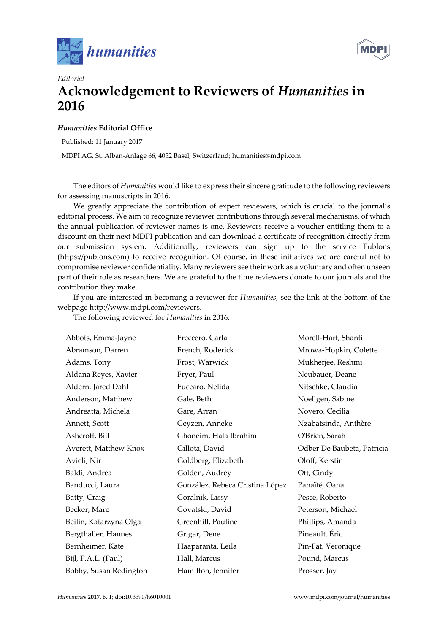



## *Editorial*  **Acknowledgement to Reviewers of** *Humanities* **in 2016**

## *Humanities* **Editorial Office**

Published: 11 January 2017

MDPI AG, St. Alban-Anlage 66, 4052 Basel, Switzerland; humanities@mdpi.com

The editors of *Humanities* would like to express their sincere gratitude to the following reviewers for assessing manuscripts in 2016.

We greatly appreciate the contribution of expert reviewers, which is crucial to the journal's editorial process. We aim to recognize reviewer contributions through several mechanisms, of which the annual publication of reviewer names is one. Reviewers receive a voucher entitling them to a discount on their next MDPI publication and can download a certificate of recognition directly from our submission system. Additionally, reviewers can sign up to the service Publons (https://publons.com) to receive recognition. Of course, in these initiatives we are careful not to compromise reviewer confidentiality. Many reviewers see their work as a voluntary and often unseen part of their role as researchers. We are grateful to the time reviewers donate to our journals and the contribution they make.

If you are interested in becoming a reviewer for *Humanities*, see the link at the bottom of the webpage http://www.mdpi.com/reviewers.

| Abbots, Emma-Jayne     | Freccero, Carla                 | Morell-Hart, Shanti        |
|------------------------|---------------------------------|----------------------------|
| Abramson, Darren       | French, Roderick                | Mrowa-Hopkin, Colette      |
| Adams, Tony            | Frost, Warwick                  | Mukherjee, Reshmi          |
| Aldana Reyes, Xavier   | Fryer, Paul                     | Neubauer, Deane            |
| Aldern, Jared Dahl     | Fuccaro, Nelida                 | Nitschke, Claudia          |
| Anderson, Matthew      | Gale, Beth                      | Noellgen, Sabine           |
| Andreatta, Michela     | Gare, Arran                     | Novero, Cecilia            |
| Annett, Scott          | Geyzen, Anneke                  | Nzabatsinda, Anthère       |
| Ashcroft, Bill         | Ghoneim, Hala Ibrahim           | O'Brien, Sarah             |
| Averett, Matthew Knox  | Gillota, David                  | Odber De Baubeta, Patricia |
| Avieli, Nir            | Goldberg, Elizabeth             | Oloff, Kerstin             |
| Baldi, Andrea          | Golden, Audrey                  | Ott, Cindy                 |
| Banducci, Laura        | González, Rebeca Cristina López | Panaïté, Oana              |
| Batty, Craig           | Goralnik, Lissy                 | Pesce, Roberto             |
| Becker, Marc           | Govatski, David                 | Peterson, Michael          |
| Beilin, Katarzyna Olga | Greenhill, Pauline              | Phillips, Amanda           |
| Bergthaller, Hannes    | Grigar, Dene                    | Pineault, Éric             |
| Bernheimer, Kate       | Haaparanta, Leila               | Pin-Fat, Veronique         |
| Bijl, P.A.L. (Paul)    | Hall, Marcus                    | Pound, Marcus              |
| Bobby, Susan Redington | Hamilton, Jennifer              | Prosser, Jay               |

The following reviewed for *Humanities* in 2016: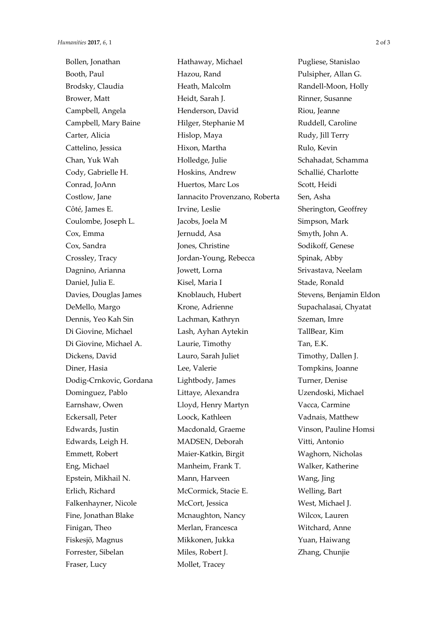Fraser, Lucy Mollet, Tracey

Bollen, Jonathan **Hathaway, Michael Pugliese**, Stanislao Booth, Paul **Hazou, Rand** Pulsipher, Allan G. Brodsky, Claudia **Heath, Malcolm Randell-Moon, Holly** Brower, Matt Heidt, Sarah J. Rinner, Susanne Campbell, Angela Henderson, David Riou, Jeanne Campbell, Mary Baine Hilger, Stephanie M Ruddell, Caroline Carter, Alicia **Hislop, Maya** Rudy, Jill Terry Cattelino, Jessica Hixon, Martha Rulo, Kevin Chan, Yuk Wah **Holledge, Julie** Schahadat, Schamma Cody, Gabrielle H. 
Hoskins, Andrew

Hoskins, Andrew

Schallié, Charlotte Conrad, JoAnn Huertos, Marc Los Scott, Heidi Costlow, Jane Iannacito Provenzano, Roberta Sen, Asha Côté, James E. Trvine, Leslie Sherington, Geoffrey Coulombe, Joseph L. Jacobs, Joela M Simpson, Mark Cox, Emma Jernudd, Asa Smyth, John A. Cox, Sandra **Jones**, Christine Sodikoff, Genese Crossley, Tracy **Jordan-Young, Rebecca** Spinak, Abby Dagnino, Arianna Jowett, Lorna Srivastava, Neelam Daniel, Julia E. Kisel, Maria I Stade, Ronald Davies, Douglas James Knoblauch, Hubert Stevens, Benjamin Eldon DeMello, Margo Krone, Adrienne Supachalasai, Chyatat Dennis, Yeo Kah Sin Lachman, Kathryn Szeman, Imre Di Giovine, Michael Lash, Ayhan Aytekin TallBear, Kim Di Giovine, Michael A. Laurie, Timothy Tan, E.K. Dickens, David Lauro, Sarah Juliet Timothy, Dallen J. Diner, Hasia Lee, Valerie Tompkins, Joanne Dodig-Crnkovic, Gordana Lightbody, James Turner, Denise Dominguez, Pablo Littaye, Alexandra Uzendoski, Michael Earnshaw, Owen Lloyd, Henry Martyn Vacca, Carmine Eckersall, Peter Loock, Kathleen Vadnais, Matthew Edwards, Justin Macdonald, Graeme Vinson, Pauline Homsi Edwards, Leigh H. MADSEN, Deborah Vitti, Antonio Emmett, Robert Maier-Katkin, Birgit Waghorn, Nicholas Eng, Michael Manheim, Frank T. Walker, Katherine Epstein, Mikhail N. Mann, Harveen Wang, Jing Erlich, Richard McCormick, Stacie E. Welling, Bart Falkenhayner, Nicole McCort, Jessica West, Michael J. Fine, Jonathan Blake Mcnaughton, Nancy Wilcox, Lauren Finigan, Theo Merlan, Francesca Witchard, Anne Fiskesjö, Magnus Mikkonen, Jukka Yuan, Haiwang Forrester, Sibelan Miles, Robert J. Zhang, Chunjie